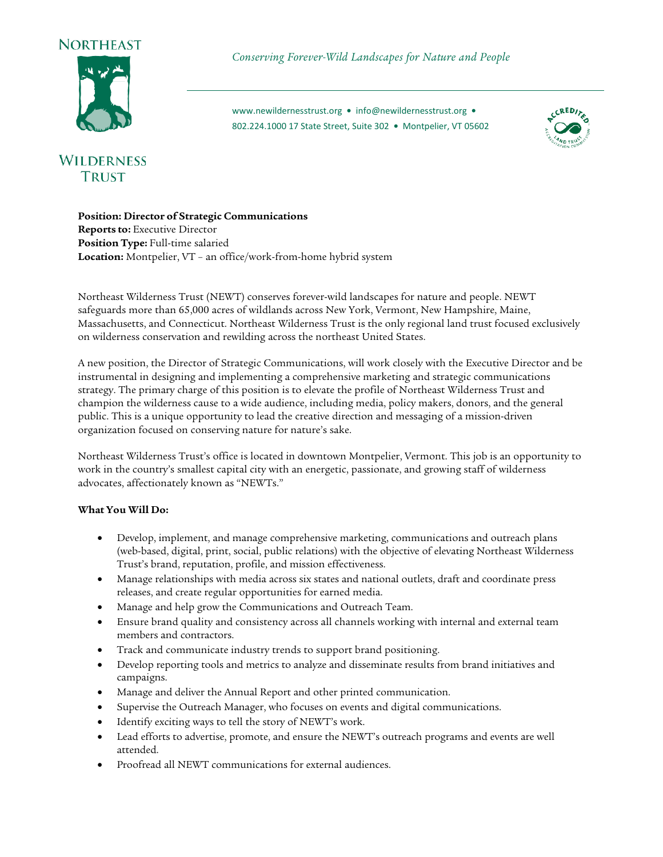



# **WILDERNESS TRUST**

*Conserving Forever-Wild Landscapes for Nature and People*

[www.newildernesstrust.org](http://www.newildernesstrust.org/) **•** [info@newildernesstrust.org](mailto:info@newildernesstrust.org) **•** 802.224.1000 17 State Street, Suite 302 **•** Montpelier, VT 05602



**Position: Director of Strategic Communications Reports to:** Executive Director **Position Type:** Full-time salaried **Location:** Montpelier, VT – an office/work-from-home hybrid system

Northeast Wilderness Trust (NEWT) conserves forever-wild landscapes for nature and people. NEWT safeguards more than 65,000 acres of wildlands across New York, Vermont, New Hampshire, Maine, Massachusetts, and Connecticut. Northeast Wilderness Trust is the only regional land trust focused exclusively on wilderness conservation and rewilding across the northeast United States.

A new position, the Director of Strategic Communications, will work closely with the Executive Director and be instrumental in designing and implementing a comprehensive marketing and strategic communications strategy. The primary charge of this position is to elevate the profile of Northeast Wilderness Trust and champion the wilderness cause to a wide audience, including media, policy makers, donors, and the general public. This is a unique opportunity to lead the creative direction and messaging of a mission-driven organization focused on conserving nature for nature's sake.

Northeast Wilderness Trust's office is located in downtown Montpelier, Vermont. This job is an opportunity to work in the country's smallest capital city with an energetic, passionate, and growing staff of wilderness advocates, affectionately known as "NEWTs."

# **What You Will Do:**

- Develop, implement, and manage comprehensive marketing, communications and outreach plans (web-based, digital, print, social, public relations) with the objective of elevating Northeast Wilderness Trust's brand, reputation, profile, and mission effectiveness.
- Manage relationships with media across six states and national outlets, draft and coordinate press releases, and create regular opportunities for earned media.
- Manage and help grow the Communications and Outreach Team.
- Ensure brand quality and consistency across all channels working with internal and external team members and contractors.
- Track and communicate industry trends to support brand positioning.
- Develop reporting tools and metrics to analyze and disseminate results from brand initiatives and campaigns.
- Manage and deliver the Annual Report and other printed communication.
- Supervise the Outreach Manager, who focuses on events and digital communications.
- Identify exciting ways to tell the story of NEWT's work.
- Lead efforts to advertise, promote, and ensure the NEWT's outreach programs and events are well attended.
- Proofread all NEWT communications for external audiences.